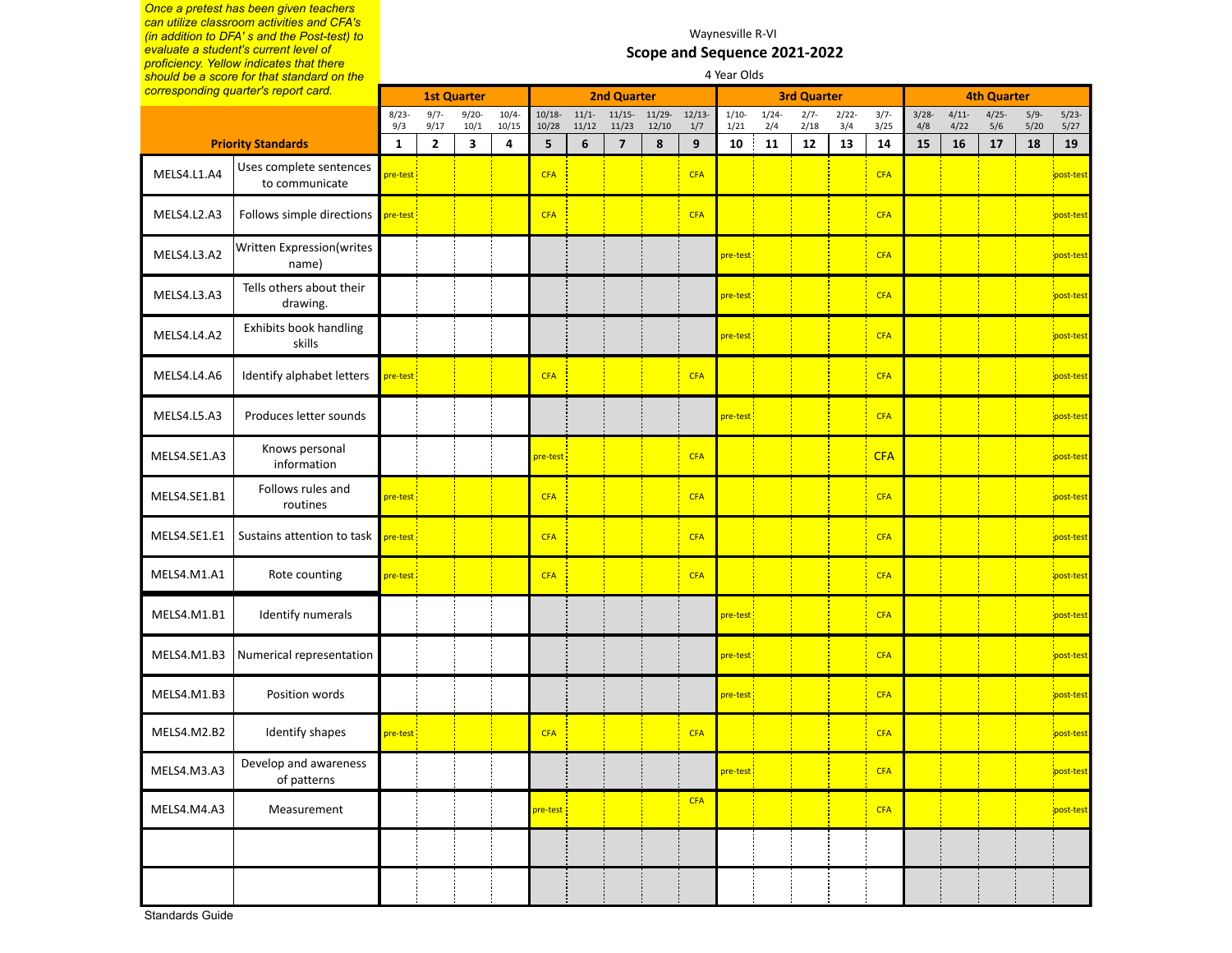*Once a pretest has been given teachers can utilize classroom activities and CFA's (in addition to DFA' s and the Post-test) to evaluate a student's current level of proficiency. Yellow indicates that there should be a score for that standard on the* 

#### Waynesville R-VI **Scope and Sequence 2021-2022** 4 Year Olds

|              | should be a score for that standard on the |                         |                 |                         |                   |                    |                  |                         |                    |                  | 4 Year Olds     |             |                    |                 |                 |                 |                    |                 |                |                 |
|--------------|--------------------------------------------|-------------------------|-----------------|-------------------------|-------------------|--------------------|------------------|-------------------------|--------------------|------------------|-----------------|-------------|--------------------|-----------------|-----------------|-----------------|--------------------|-----------------|----------------|-----------------|
|              | corresponding quarter's report card.       |                         |                 | <b>1st Quarter</b>      |                   |                    |                  | <b>2nd Quarter</b>      |                    |                  |                 |             | <b>3rd Quarter</b> |                 |                 |                 | <b>4th Quarter</b> |                 |                |                 |
|              |                                            | $8/23 -$<br>9/3         | $9/7 -$<br>9/17 | $9/20 -$<br>10/1        | $10/4 -$<br>10/15 | $10/18 -$<br>10/28 | $11/1-$<br>11/12 | $11/15-$<br>11/23       | $11/29 -$<br>12/10 | 12/13<br>1/7     | $1/10-$<br>1/21 | 1/24<br>2/4 | $2/7 -$<br>2/18    | $2/22 -$<br>3/4 | $3/7 -$<br>3/25 | $3/28 -$<br>4/8 | $4/11-$<br>4/22    | $4/25 -$<br>5/6 | $5/9-$<br>5/20 | $5/23-$<br>5/27 |
|              | <b>Priority Standards</b>                  | $\mathbf{1}$            | $\mathbf{2}$    | $\overline{\mathbf{3}}$ | 4                 | 5                  | $6\phantom{1}$   | $\overline{\mathbf{z}}$ | $\pmb{8}$          | $\boldsymbol{9}$ | 10              | 11          | $12\,$             | 13              | 14              | 15              | 16                 | 17              | 18             | 19              |
| MELS4.L1.A4  | Uses complete sentences<br>to communicate  | pre-test                |                 |                         |                   | <b>CFA</b>         |                  |                         |                    | <b>CFA</b>       |                 |             |                    |                 | <b>CFA</b>      |                 |                    |                 |                | post-test       |
| MELS4.L2.A3  | Follows simple directions                  | pre-test:               |                 |                         |                   | <b>CFA</b>         |                  |                         |                    | <b>CFA</b>       |                 |             |                    |                 | <b>CFA</b>      |                 |                    |                 |                | post-test       |
| MELS4.L3.A2  | Written Expression(writes<br>name)         |                         |                 |                         |                   |                    |                  |                         |                    |                  | pre-test:       |             |                    |                 | <b>CFA</b>      |                 |                    |                 |                | post-test       |
| MELS4.L3.A3  | Tells others about their<br>drawing.       |                         |                 |                         |                   |                    |                  |                         |                    |                  | pre-test        |             |                    |                 | <b>CFA</b>      |                 |                    |                 |                | post-test       |
| MELS4.L4.A2  | Exhibits book handling<br>skills           |                         |                 |                         |                   |                    |                  |                         |                    |                  | pre-test        |             |                    |                 | <b>CFA</b>      |                 |                    |                 |                | post-test       |
| MELS4.L4.A6  | Identify alphabet letters                  | pre-test :              |                 |                         |                   | <b>CFA</b>         |                  |                         |                    | <b>CFA</b>       |                 |             |                    |                 | <b>CFA</b>      |                 |                    |                 |                | post-test       |
| MELS4.L5.A3  | Produces letter sounds                     |                         |                 |                         |                   |                    |                  |                         |                    |                  | pre-test        |             |                    |                 | <b>CFA</b>      |                 |                    |                 |                | post-test       |
| MELS4.SE1.A3 | Knows personal<br>information              |                         |                 |                         |                   | pre-test           |                  |                         |                    | <b>CFA</b>       |                 |             |                    |                 | <b>CFA</b>      |                 |                    |                 |                | post-test       |
| MELS4.SE1.B1 | Follows rules and<br>routines              | pre-test <mark>:</mark> |                 |                         |                   | <b>CFA</b>         |                  |                         |                    | <b>CFA</b>       |                 |             |                    |                 | <b>CFA</b>      |                 |                    |                 |                | post-test       |
| MELS4.SE1.E1 | Sustains attention to task                 | pre-test:               |                 |                         |                   | <b>CFA</b>         |                  |                         |                    | <b>CFA</b>       |                 |             |                    |                 | <b>CFA</b>      |                 |                    |                 |                | post-test       |
| MELS4.M1.A1  | Rote counting                              | pre-test:               |                 |                         |                   | <b>CFA</b>         |                  |                         |                    | <b>CFA</b>       |                 |             |                    |                 | <b>CFA</b>      |                 |                    |                 |                | post-test       |
| MELS4.M1.B1  | Identify numerals                          |                         |                 |                         |                   |                    |                  |                         |                    |                  | pre-test        |             |                    |                 | <b>CFA</b>      |                 |                    |                 |                | post-test       |
| MELS4.M1.B3  | Numerical representation                   |                         |                 |                         |                   |                    |                  |                         |                    |                  | pre-test        |             |                    |                 | <b>CFA</b>      |                 |                    |                 |                | post-test       |
| MELS4.M1.B3  | Position words                             |                         |                 |                         |                   |                    |                  |                         |                    |                  | pre-test :      |             |                    |                 | <b>CFA</b>      |                 |                    |                 |                | post-test       |
| MELS4.M2.B2  | Identify shapes                            | pre-test                |                 |                         |                   | <b>CFA</b>         |                  |                         |                    | <b>CFA</b>       |                 |             |                    |                 | <b>CFA</b>      |                 |                    |                 |                | post-test       |
| MELS4.M3.A3  | Develop and awareness<br>of patterns       |                         |                 |                         |                   |                    |                  |                         |                    |                  | re-test         |             |                    |                 | <b>CFA</b>      |                 |                    |                 |                | post-test       |
| MELS4.M4.A3  | Measurement                                |                         |                 |                         |                   | pre-test :         |                  |                         |                    | <b>CFA</b>       |                 |             |                    |                 | <b>CFA</b>      |                 |                    |                 |                | post-test       |
|              |                                            |                         |                 |                         |                   |                    |                  |                         |                    |                  |                 |             |                    |                 |                 |                 |                    |                 |                |                 |
|              |                                            |                         |                 |                         |                   |                    |                  |                         |                    |                  |                 |             |                    |                 |                 |                 |                    |                 |                |                 |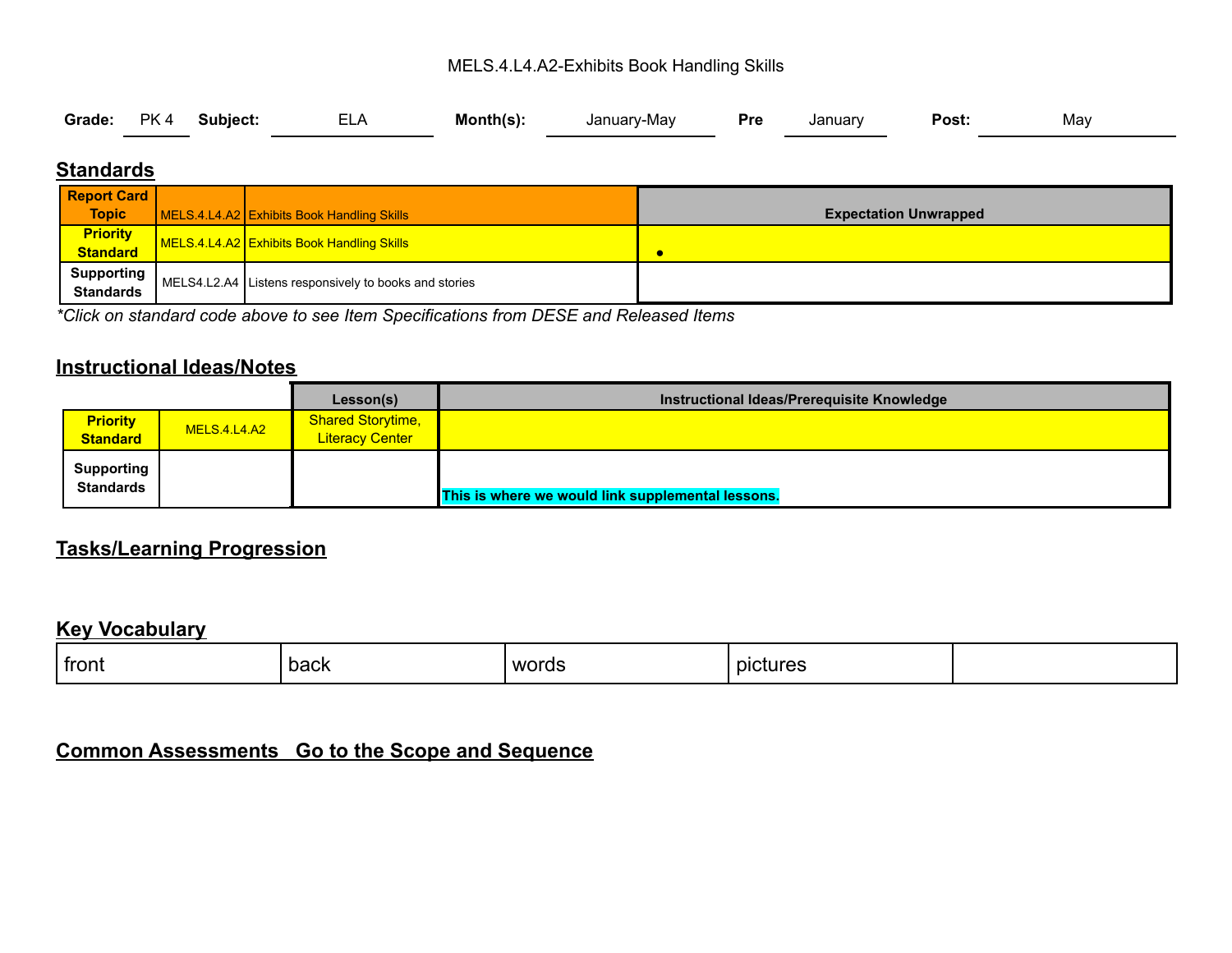#### MELS.4.L4.A2-Exhibits Book Handling Skills

|  |  | Grade: PK 4 Subject: | <b>ELA</b> | Month(s): | January-May <b>Pre</b> |  | January | Post: | May |
|--|--|----------------------|------------|-----------|------------------------|--|---------|-------|-----|
|--|--|----------------------|------------|-----------|------------------------|--|---------|-------|-----|

### **Standards**

| <b>Report Card</b>             |                                                       |                              |
|--------------------------------|-------------------------------------------------------|------------------------------|
| <b>Topic</b>                   | MELS.4.L4.A2 Exhibits Book Handling Skills            | <b>Expectation Unwrapped</b> |
| <b>Priority</b><br>Standard    | <b>NELS.4.L4.A2</b> Exhibits Book Handling Skills     | c                            |
| Supporting<br><b>Standards</b> | MELS4.L2.A4 Listens responsively to books and stories |                              |

*\*Click on standard code above to see Item Specifications from DESE and Released Items*

#### **Instructional Ideas/Notes**

|                                       |                     | Lesson(s)                                          | Instructional Ideas/Prerequisite Knowledge        |
|---------------------------------------|---------------------|----------------------------------------------------|---------------------------------------------------|
| <b>Priority</b><br><b>Standard</b>    | <b>MELS.4.L4.A2</b> | <b>Shared Storytime,</b><br><b>Literacy Center</b> |                                                   |
| <b>Supporting</b><br><b>Standards</b> |                     |                                                    | This is where we would link supplemental lessons. |

### **Tasks/Learning Progression**

#### **Key Vocabulary**

| front | back | words | pictures |  |
|-------|------|-------|----------|--|
|       |      | ____  |          |  |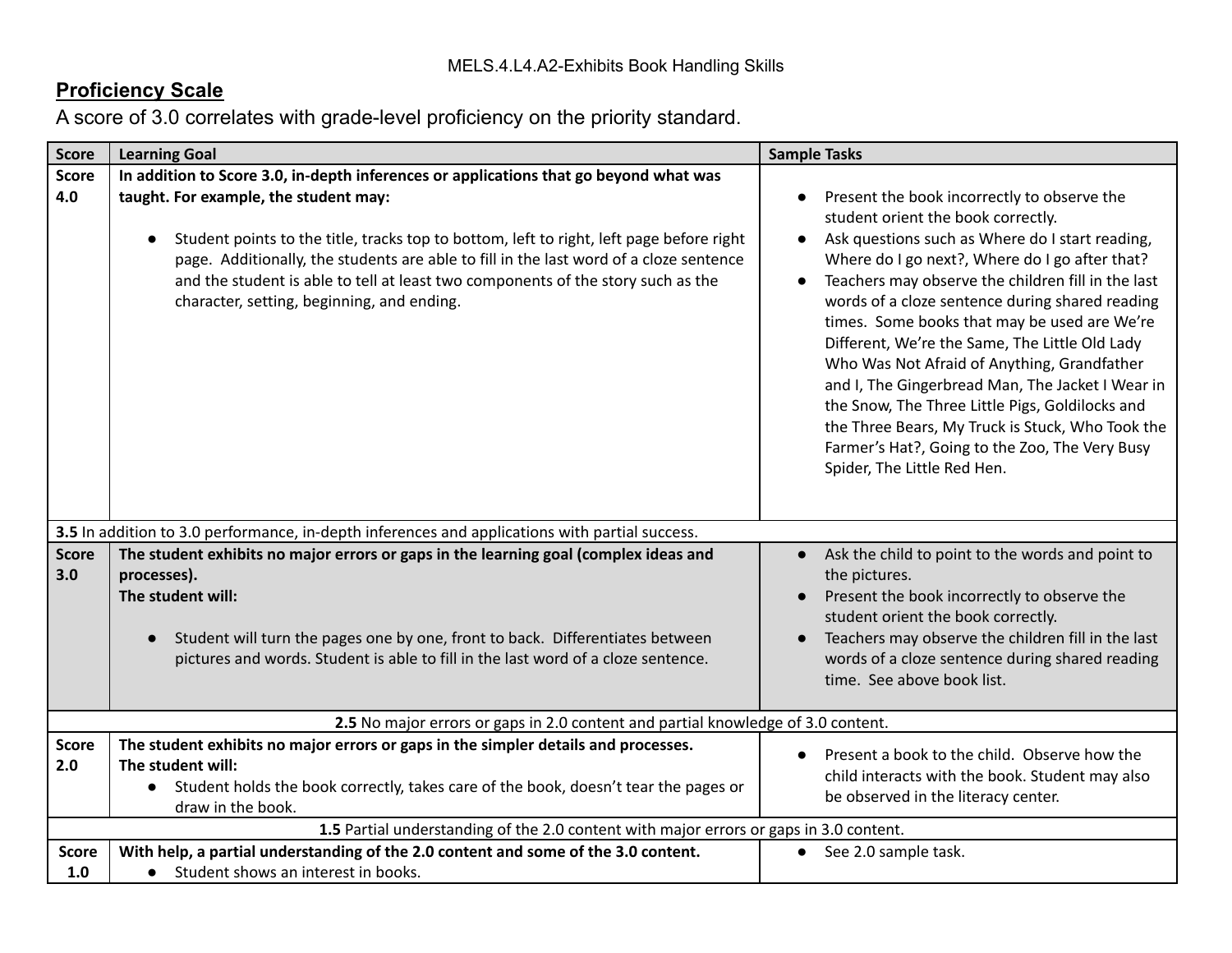| <b>Score</b>        | <b>Learning Goal</b>                                                                                                                                                                                                                                                                                                                                          | <b>Sample Tasks</b>                                                                                                                                                                                                                                                                                                                                                                                                                                                                                                                                                                                                                                                                                       |
|---------------------|---------------------------------------------------------------------------------------------------------------------------------------------------------------------------------------------------------------------------------------------------------------------------------------------------------------------------------------------------------------|-----------------------------------------------------------------------------------------------------------------------------------------------------------------------------------------------------------------------------------------------------------------------------------------------------------------------------------------------------------------------------------------------------------------------------------------------------------------------------------------------------------------------------------------------------------------------------------------------------------------------------------------------------------------------------------------------------------|
| <b>Score</b>        | In addition to Score 3.0, in-depth inferences or applications that go beyond what was                                                                                                                                                                                                                                                                         |                                                                                                                                                                                                                                                                                                                                                                                                                                                                                                                                                                                                                                                                                                           |
| 4.0                 | taught. For example, the student may:<br>Student points to the title, tracks top to bottom, left to right, left page before right<br>page. Additionally, the students are able to fill in the last word of a cloze sentence<br>and the student is able to tell at least two components of the story such as the<br>character, setting, beginning, and ending. | Present the book incorrectly to observe the<br>student orient the book correctly.<br>Ask questions such as Where do I start reading,<br>Where do I go next?, Where do I go after that?<br>Teachers may observe the children fill in the last<br>$\bullet$<br>words of a cloze sentence during shared reading<br>times. Some books that may be used are We're<br>Different, We're the Same, The Little Old Lady<br>Who Was Not Afraid of Anything, Grandfather<br>and I, The Gingerbread Man, The Jacket I Wear in<br>the Snow, The Three Little Pigs, Goldilocks and<br>the Three Bears, My Truck is Stuck, Who Took the<br>Farmer's Hat?, Going to the Zoo, The Very Busy<br>Spider, The Little Red Hen. |
|                     | 3.5 In addition to 3.0 performance, in-depth inferences and applications with partial success.                                                                                                                                                                                                                                                                |                                                                                                                                                                                                                                                                                                                                                                                                                                                                                                                                                                                                                                                                                                           |
| <b>Score</b><br>3.0 | The student exhibits no major errors or gaps in the learning goal (complex ideas and<br>processes).<br>The student will:<br>Student will turn the pages one by one, front to back. Differentiates between<br>pictures and words. Student is able to fill in the last word of a cloze sentence.                                                                | Ask the child to point to the words and point to<br>$\bullet$<br>the pictures.<br>Present the book incorrectly to observe the<br>student orient the book correctly.<br>Teachers may observe the children fill in the last<br>words of a cloze sentence during shared reading<br>time. See above book list.                                                                                                                                                                                                                                                                                                                                                                                                |
|                     | 2.5 No major errors or gaps in 2.0 content and partial knowledge of 3.0 content.                                                                                                                                                                                                                                                                              |                                                                                                                                                                                                                                                                                                                                                                                                                                                                                                                                                                                                                                                                                                           |
| <b>Score</b><br>2.0 | The student exhibits no major errors or gaps in the simpler details and processes.<br>The student will:<br>Student holds the book correctly, takes care of the book, doesn't tear the pages or<br>$\bullet$<br>draw in the book.                                                                                                                              | Present a book to the child. Observe how the<br>child interacts with the book. Student may also<br>be observed in the literacy center.                                                                                                                                                                                                                                                                                                                                                                                                                                                                                                                                                                    |
|                     | 1.5 Partial understanding of the 2.0 content with major errors or gaps in 3.0 content.                                                                                                                                                                                                                                                                        |                                                                                                                                                                                                                                                                                                                                                                                                                                                                                                                                                                                                                                                                                                           |
| <b>Score</b><br>1.0 | With help, a partial understanding of the 2.0 content and some of the 3.0 content.<br>• Student shows an interest in books.                                                                                                                                                                                                                                   | • See 2.0 sample task.                                                                                                                                                                                                                                                                                                                                                                                                                                                                                                                                                                                                                                                                                    |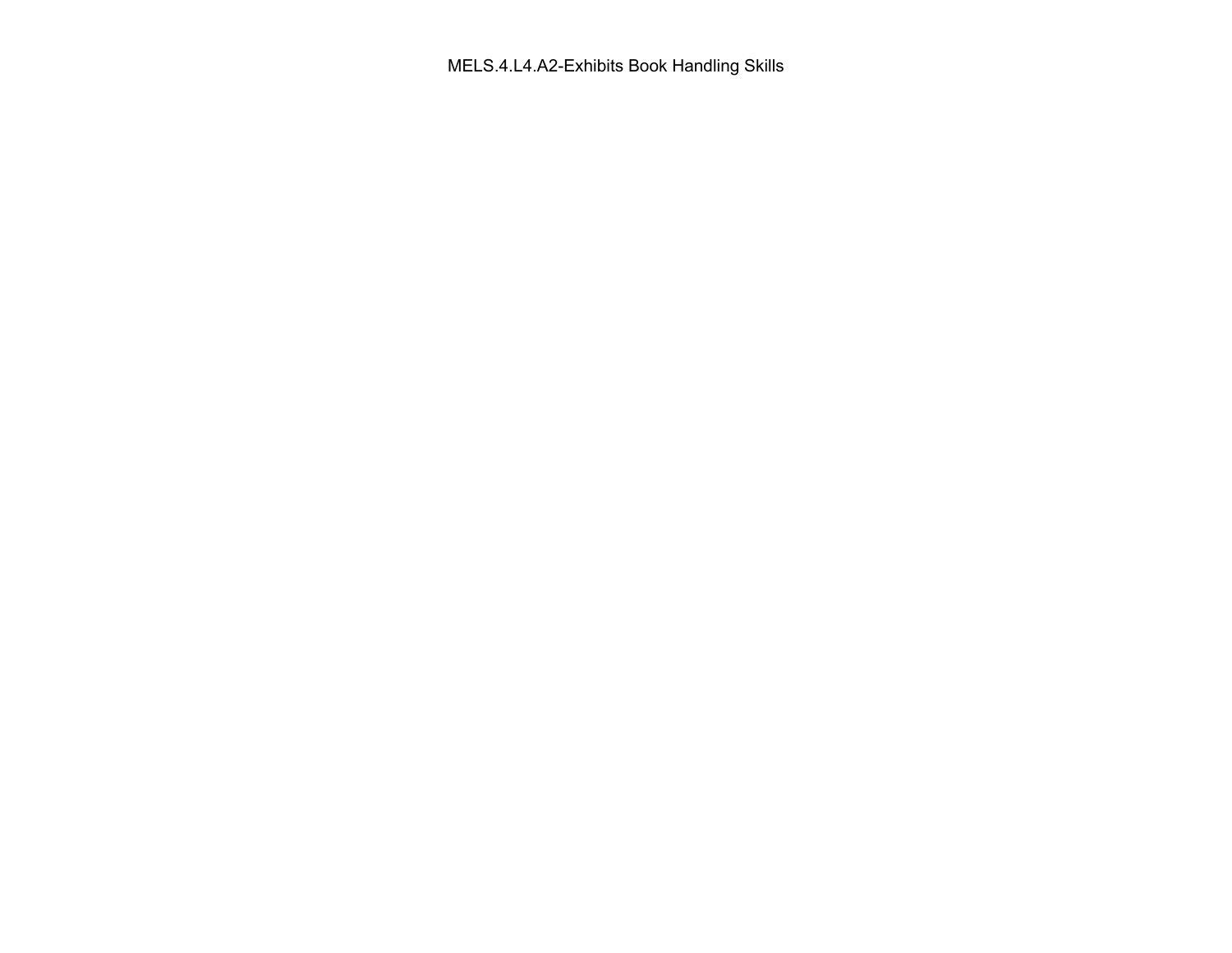MELS.4.L4.A2-Exhibits Book Handling Skills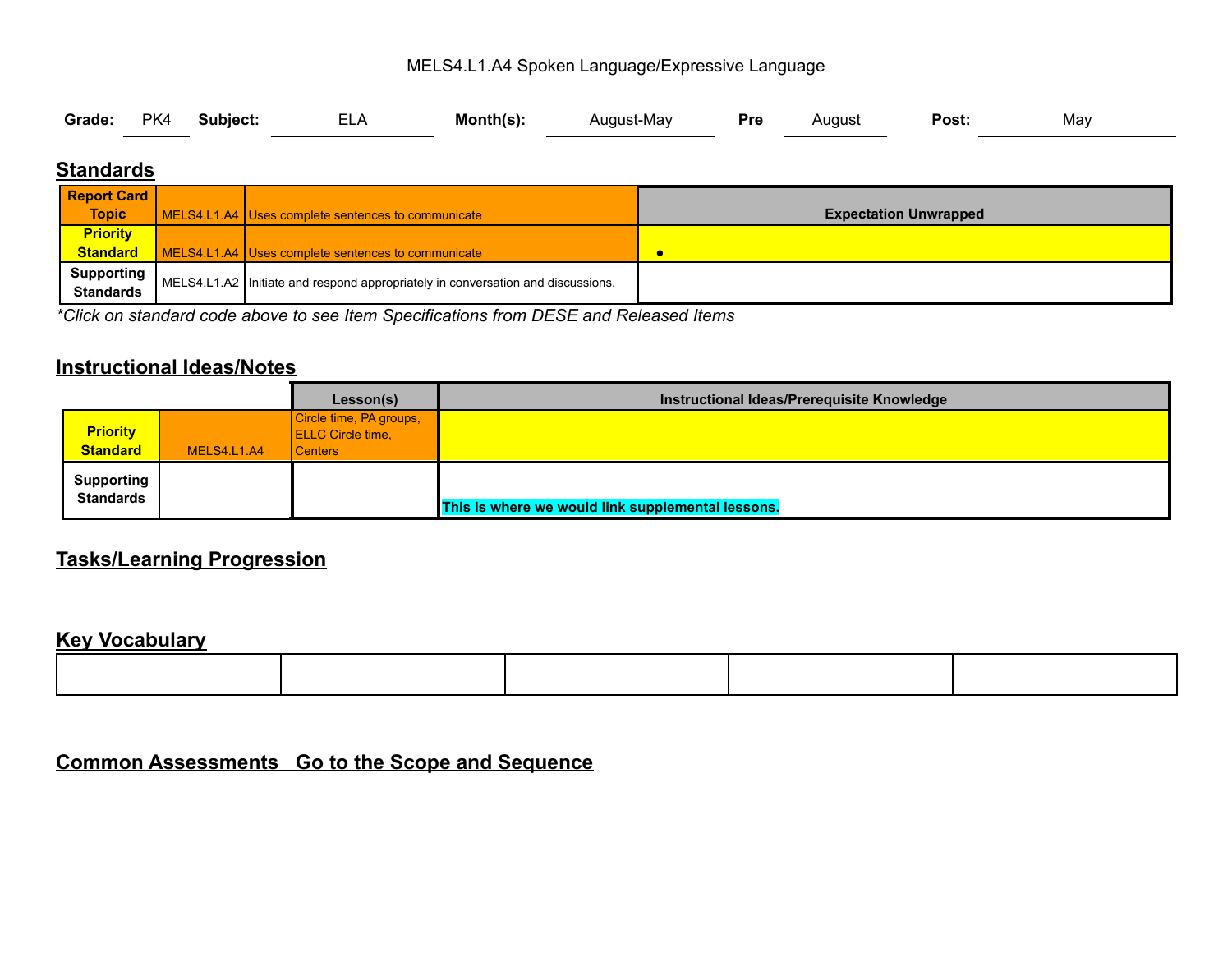#### MELS4.L1.A4 Spoken Language/Expressive Language

|  |  | Grade: PK4 Subject: | <b>ELA</b> | Month(s): | August-May |  | , Pre August | <b>Post:</b> | May |  |
|--|--|---------------------|------------|-----------|------------|--|--------------|--------------|-----|--|
|--|--|---------------------|------------|-----------|------------|--|--------------|--------------|-----|--|

### **Standards**

| <b>Report Card</b>                    |                                                                                 |                              |
|---------------------------------------|---------------------------------------------------------------------------------|------------------------------|
| <b>Topic</b>                          | MELS4.L1.A4 Uses complete sentences to communicate                              | <b>Expectation Unwrapped</b> |
| <b>Priority</b>                       |                                                                                 |                              |
| <b>Standard</b>                       | MELS4.L1.A4 Uses complete sentences to communicate                              |                              |
| <b>Supporting</b><br><b>Standards</b> | MELS4.L1.A2 Initiate and respond appropriately in conversation and discussions. |                              |

*\*Click on standard code above to see Item Specifications from DESE and Released Items*

# **Instructional Ideas/Notes**

|                                       |             | Lesson(s)                                                      | Instructional Ideas/Prerequisite Knowledge        |
|---------------------------------------|-------------|----------------------------------------------------------------|---------------------------------------------------|
| <b>Priority</b><br><b>Standard</b>    | MELS4.L1.A4 | Circle time, PA groups,<br><b>ELLC</b> Circle time,<br>Centers |                                                   |
| <b>Supporting</b><br><b>Standards</b> |             |                                                                | This is where we would link supplemental lessons. |

### **Tasks/Learning Progression**

#### **Key Vocabulary**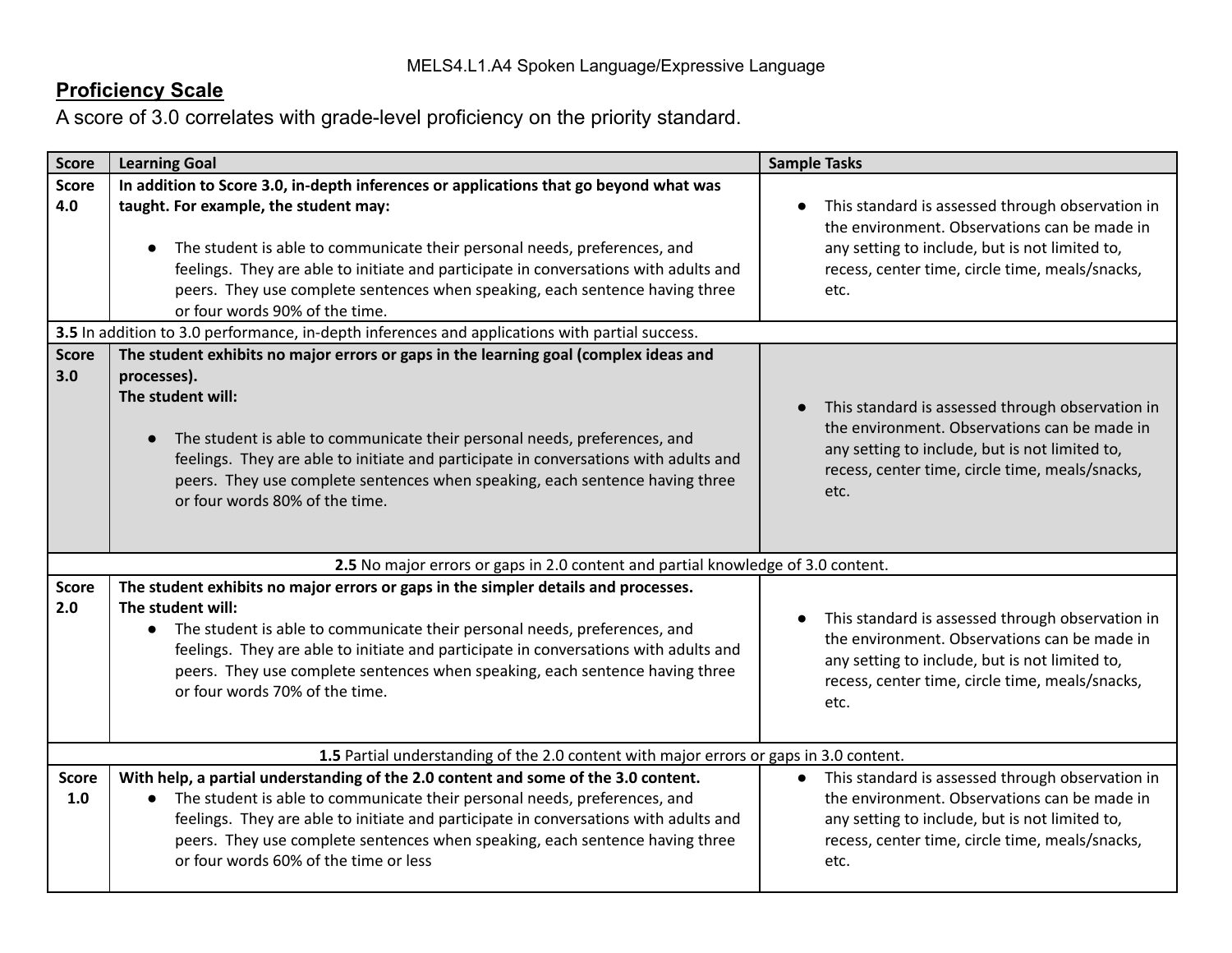| <b>Score</b>        | <b>Learning Goal</b>                                                                                                                                                                                                                                                                                                                                                                                                  | <b>Sample Tasks</b>                                                                                                                                                                                             |  |  |  |  |  |  |  |
|---------------------|-----------------------------------------------------------------------------------------------------------------------------------------------------------------------------------------------------------------------------------------------------------------------------------------------------------------------------------------------------------------------------------------------------------------------|-----------------------------------------------------------------------------------------------------------------------------------------------------------------------------------------------------------------|--|--|--|--|--|--|--|
| <b>Score</b><br>4.0 | In addition to Score 3.0, in-depth inferences or applications that go beyond what was<br>taught. For example, the student may:<br>The student is able to communicate their personal needs, preferences, and<br>feelings. They are able to initiate and participate in conversations with adults and<br>peers. They use complete sentences when speaking, each sentence having three<br>or four words 90% of the time. | This standard is assessed through observation in<br>the environment. Observations can be made in<br>any setting to include, but is not limited to,<br>recess, center time, circle time, meals/snacks,<br>etc.   |  |  |  |  |  |  |  |
|                     | 3.5 In addition to 3.0 performance, in-depth inferences and applications with partial success.                                                                                                                                                                                                                                                                                                                        |                                                                                                                                                                                                                 |  |  |  |  |  |  |  |
| <b>Score</b><br>3.0 | The student exhibits no major errors or gaps in the learning goal (complex ideas and<br>processes).<br>The student will:<br>The student is able to communicate their personal needs, preferences, and<br>feelings. They are able to initiate and participate in conversations with adults and<br>peers. They use complete sentences when speaking, each sentence having three<br>or four words 80% of the time.       | This standard is assessed through observation in<br>the environment. Observations can be made in<br>any setting to include, but is not limited to,<br>recess, center time, circle time, meals/snacks,<br>etc.   |  |  |  |  |  |  |  |
|                     | 2.5 No major errors or gaps in 2.0 content and partial knowledge of 3.0 content.                                                                                                                                                                                                                                                                                                                                      |                                                                                                                                                                                                                 |  |  |  |  |  |  |  |
| <b>Score</b><br>2.0 | The student exhibits no major errors or gaps in the simpler details and processes.<br>The student will:<br>• The student is able to communicate their personal needs, preferences, and<br>feelings. They are able to initiate and participate in conversations with adults and<br>peers. They use complete sentences when speaking, each sentence having three<br>or four words 70% of the time.                      | This standard is assessed through observation in<br>the environment. Observations can be made in<br>any setting to include, but is not limited to,<br>recess, center time, circle time, meals/snacks,<br>etc.   |  |  |  |  |  |  |  |
|                     | 1.5 Partial understanding of the 2.0 content with major errors or gaps in 3.0 content.                                                                                                                                                                                                                                                                                                                                |                                                                                                                                                                                                                 |  |  |  |  |  |  |  |
| <b>Score</b><br>1.0 | With help, a partial understanding of the 2.0 content and some of the 3.0 content.<br>• The student is able to communicate their personal needs, preferences, and<br>feelings. They are able to initiate and participate in conversations with adults and<br>peers. They use complete sentences when speaking, each sentence having three<br>or four words 60% of the time or less                                    | • This standard is assessed through observation in<br>the environment. Observations can be made in<br>any setting to include, but is not limited to,<br>recess, center time, circle time, meals/snacks,<br>etc. |  |  |  |  |  |  |  |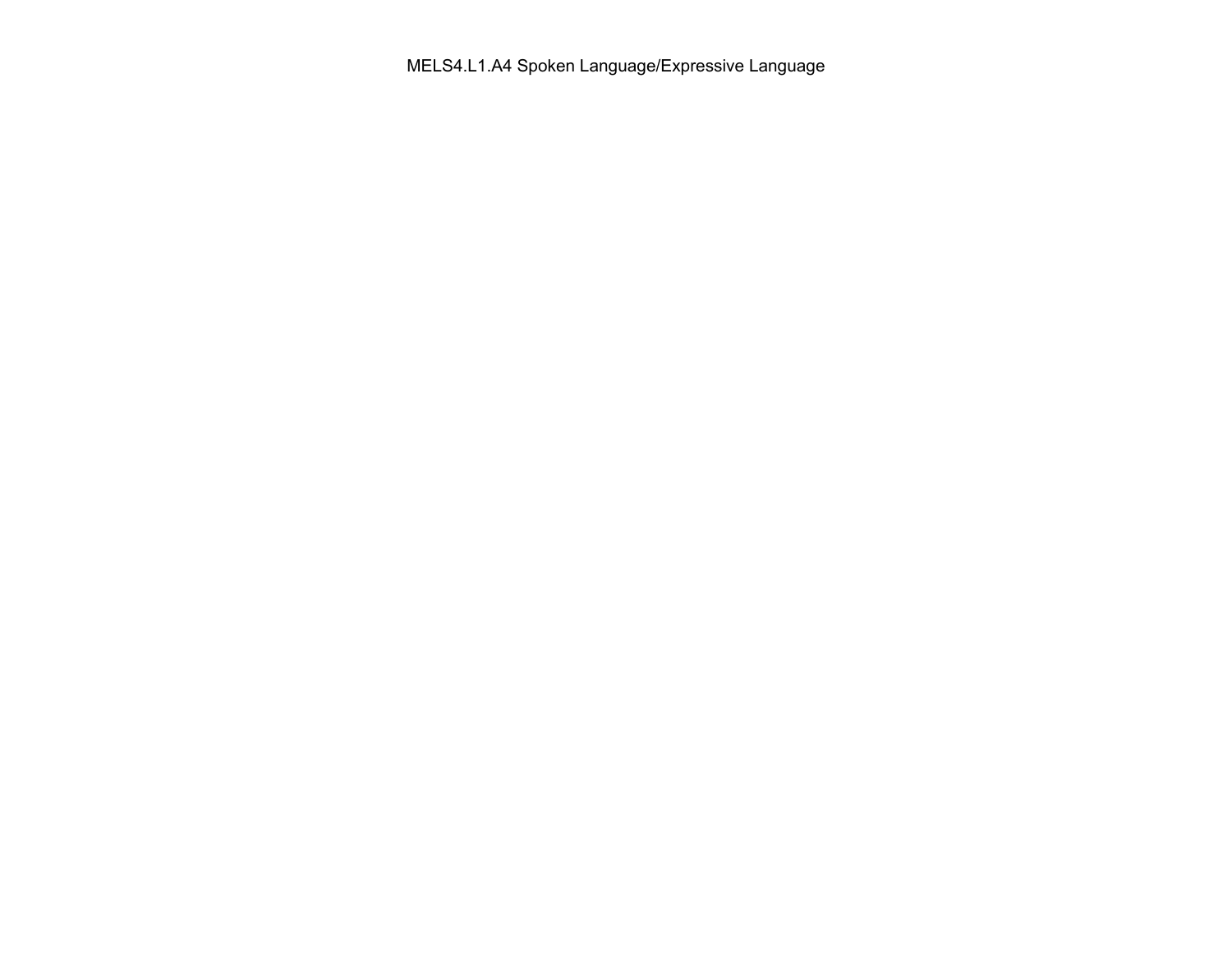MELS4.L1.A4 Spoken Language/Expressive Language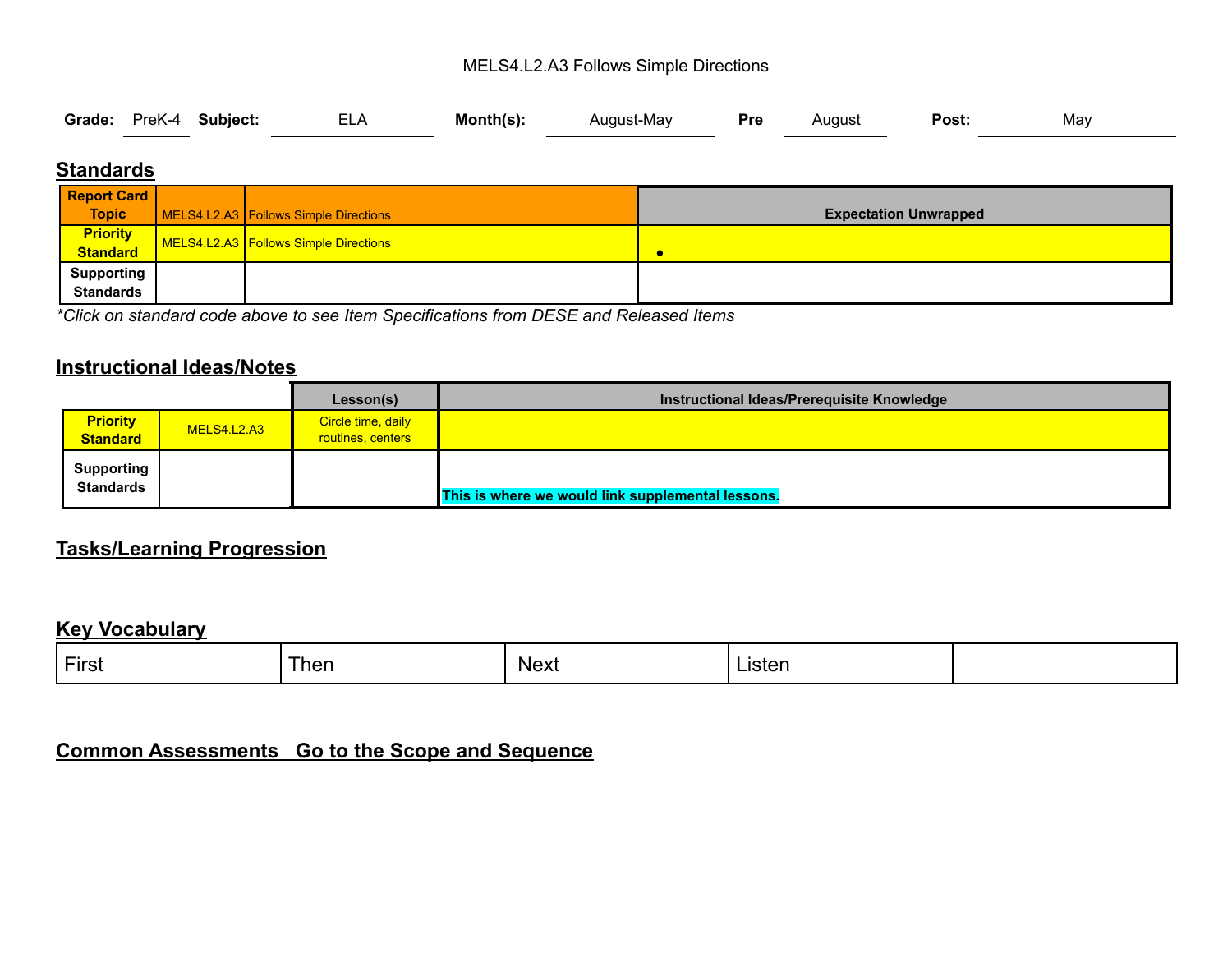#### MELS4.L2.A3 Follows Simple Directions

|  |  | Grade: PreK-4 Subject: ELA Month(s): |  |  | y, August-May <b>Pre</b> August |  |  | <b>Post:</b> | May |
|--|--|--------------------------------------|--|--|---------------------------------|--|--|--------------|-----|
|--|--|--------------------------------------|--|--|---------------------------------|--|--|--------------|-----|

### **Standards**

| <b>Report Card</b>                    |                                                |                              |
|---------------------------------------|------------------------------------------------|------------------------------|
| <b>Topic</b>                          | MELS4.L2.A3 Follows Simple Directions          | <b>Expectation Unwrapped</b> |
| <b>Priority</b><br>Standard           | <b>1 MELS4.L2.A3 Follows Simple Directions</b> | c                            |
| <b>Supporting</b><br><b>Standards</b> |                                                |                              |

*\*Click on standard code above to see Item Specifications from DESE and Released Items*

#### **Instructional Ideas/Notes**

|                                       |             | Lesson(s)                               | Instructional Ideas/Prerequisite Knowledge        |
|---------------------------------------|-------------|-----------------------------------------|---------------------------------------------------|
| <b>Priority</b><br><b>Standard</b>    | MELS4.L2.A3 | Circle time, daily<br>routines, centers |                                                   |
| <b>Supporting</b><br><b>Standards</b> |             |                                         | This is where we would link supplemental lessons. |

### **Tasks/Learning Progression**

#### **Key Vocabulary**

| First | ∖hen | Next<br>___ | usten.<br>------ |  |
|-------|------|-------------|------------------|--|
|       |      |             |                  |  |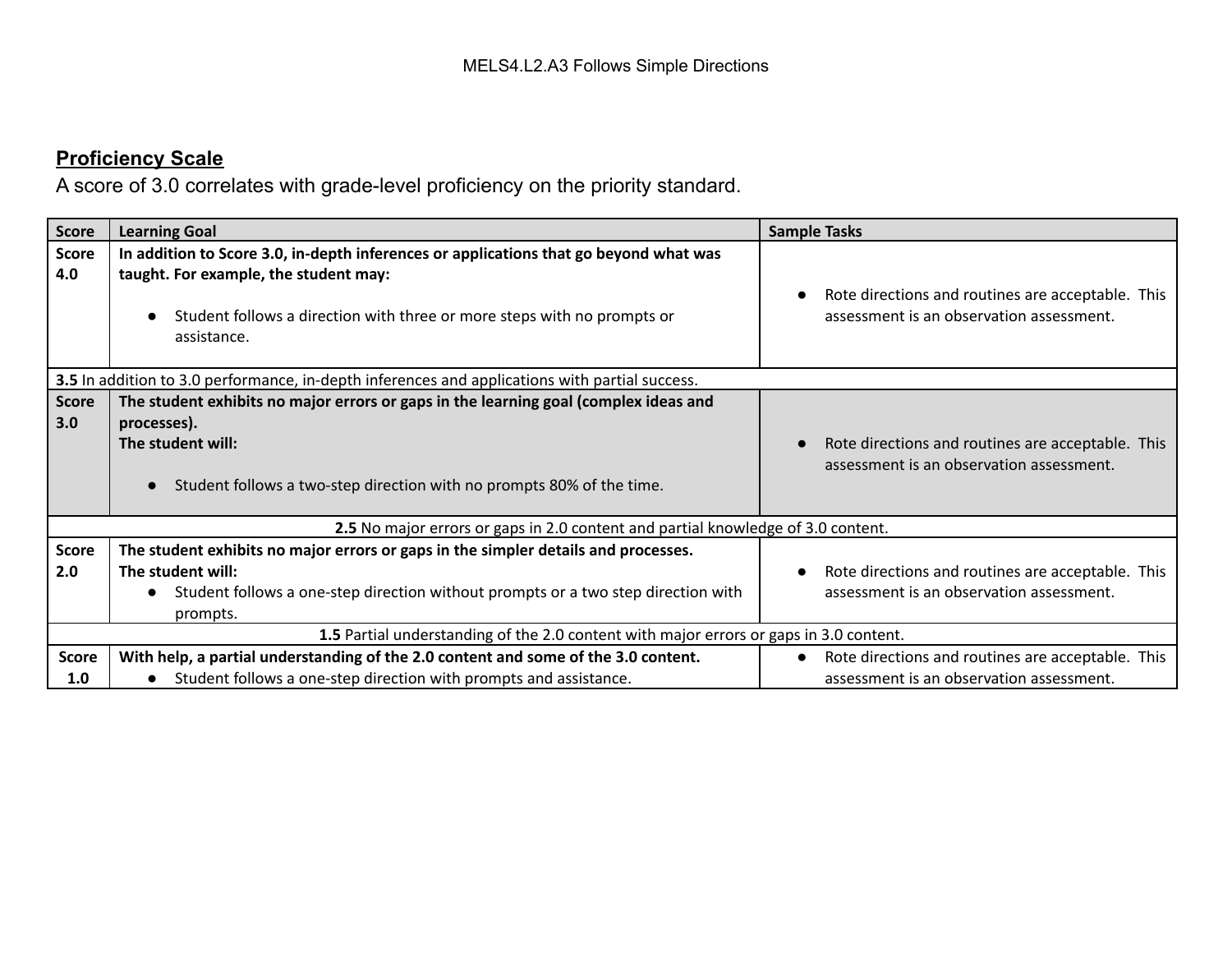| <b>Score</b>        | <b>Learning Goal</b>                                                                                                                                                                                                     | <b>Sample Tasks</b>                                                                           |
|---------------------|--------------------------------------------------------------------------------------------------------------------------------------------------------------------------------------------------------------------------|-----------------------------------------------------------------------------------------------|
| <b>Score</b><br>4.0 | In addition to Score 3.0, in-depth inferences or applications that go beyond what was<br>taught. For example, the student may:<br>Student follows a direction with three or more steps with no prompts or<br>assistance. | Rote directions and routines are acceptable. This<br>assessment is an observation assessment. |
|                     | 3.5 In addition to 3.0 performance, in-depth inferences and applications with partial success.                                                                                                                           |                                                                                               |
| <b>Score</b><br>3.0 | The student exhibits no major errors or gaps in the learning goal (complex ideas and<br>processes).<br>The student will:<br>Student follows a two-step direction with no prompts 80% of the time.                        | Rote directions and routines are acceptable. This<br>assessment is an observation assessment. |
|                     | 2.5 No major errors or gaps in 2.0 content and partial knowledge of 3.0 content.                                                                                                                                         |                                                                                               |
| <b>Score</b><br>2.0 | The student exhibits no major errors or gaps in the simpler details and processes.<br>The student will:<br>Student follows a one-step direction without prompts or a two step direction with<br>$\bullet$<br>prompts.    | Rote directions and routines are acceptable. This<br>assessment is an observation assessment. |
|                     | 1.5 Partial understanding of the 2.0 content with major errors or gaps in 3.0 content.                                                                                                                                   |                                                                                               |
| <b>Score</b><br>1.0 | With help, a partial understanding of the 2.0 content and some of the 3.0 content.<br>Student follows a one-step direction with prompts and assistance.                                                                  | Rote directions and routines are acceptable. This<br>assessment is an observation assessment. |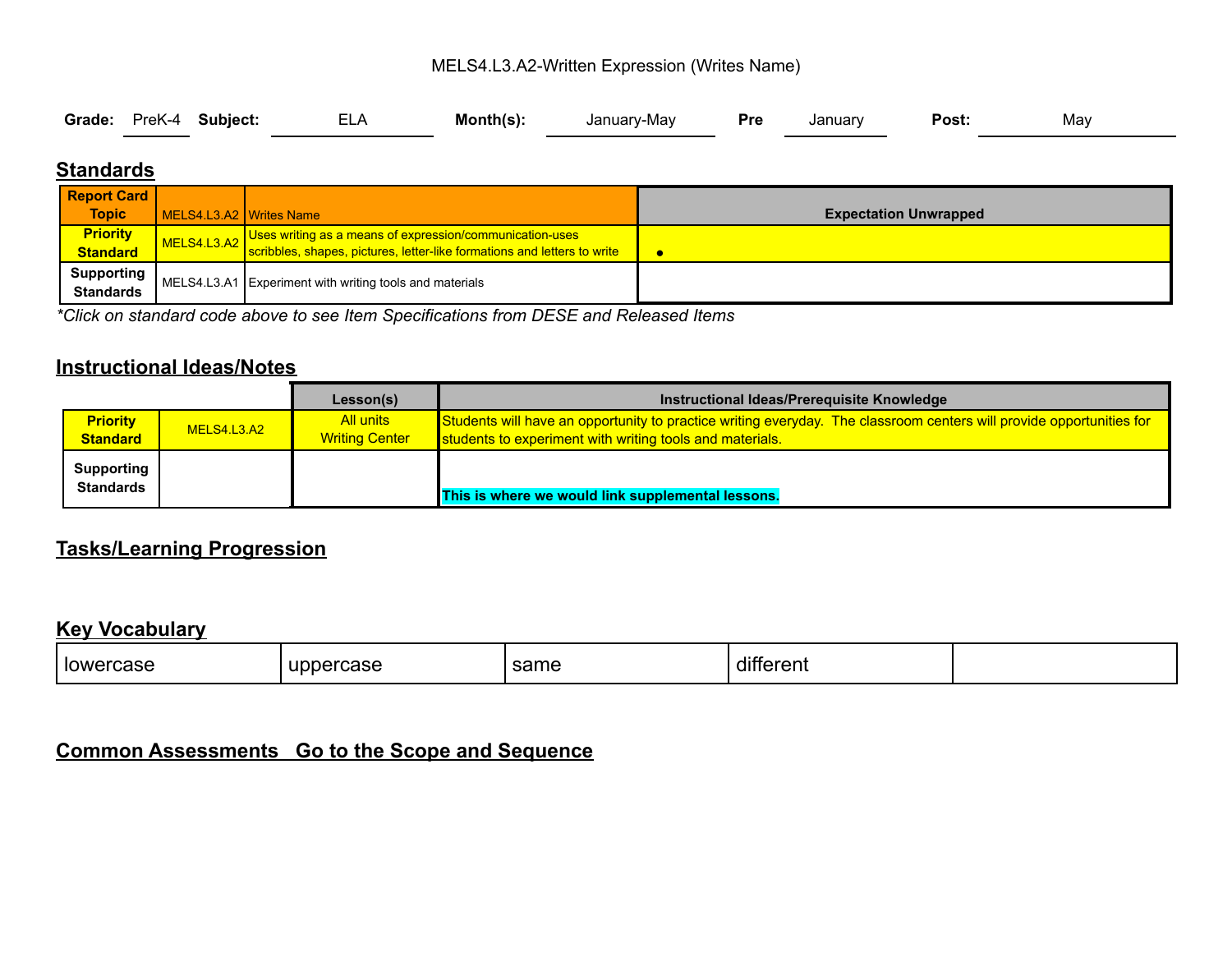#### MELS4.L3.A2-Written Expression (Writes Name)

| Grade: PreK-4 Subject:<br>FI A<br>Month(s):<br><b>Pre</b><br>January-May<br>Januarv | Post:<br>May |
|-------------------------------------------------------------------------------------|--------------|
|-------------------------------------------------------------------------------------|--------------|

### **Standards**

| <b>Report Card</b>                    |                         |                                                                          |                              |
|---------------------------------------|-------------------------|--------------------------------------------------------------------------|------------------------------|
| <b>Topic</b>                          | MELS4.L3.A2 Writes Name |                                                                          | <b>Expectation Unwrapped</b> |
| <b>Priority</b>                       | MELS4.L3.A2             | Uses writing as a means of expression/communication-uses                 |                              |
| <b>Standard</b>                       |                         | scribbles, shapes, pictures, letter-like formations and letters to write |                              |
| <b>Supporting</b><br><b>Standards</b> |                         | MELS4.L3.A1 Experiment with writing tools and materials                  |                              |

*\*Click on standard code above to see Item Specifications from DESE and Released Items*

#### **Instructional Ideas/Notes**

|                                       |             | Lesson(s)                          | Instructional Ideas/Prerequisite Knowledge                                                                                                                                       |
|---------------------------------------|-------------|------------------------------------|----------------------------------------------------------------------------------------------------------------------------------------------------------------------------------|
| <b>Priority</b><br><b>Standard</b>    | MELS4.L3.A2 | All units<br><b>Writing Center</b> | Students will have an opportunity to practice writing everyday. The classroom centers will provide opportunities for<br>students to experiment with writing tools and materials. |
| <b>Supporting</b><br><b>Standards</b> |             |                                    | This is where we would link supplemental lessons.                                                                                                                                |

### **Tasks/Learning Progression**

### **Key Vocabulary**

| lowe<br>ase | INNE<br>™ase | $\sim$<br>same | $\cdots$<br>.<br>ΊН<br>'en<br>. |  |
|-------------|--------------|----------------|---------------------------------|--|
|             |              |                |                                 |  |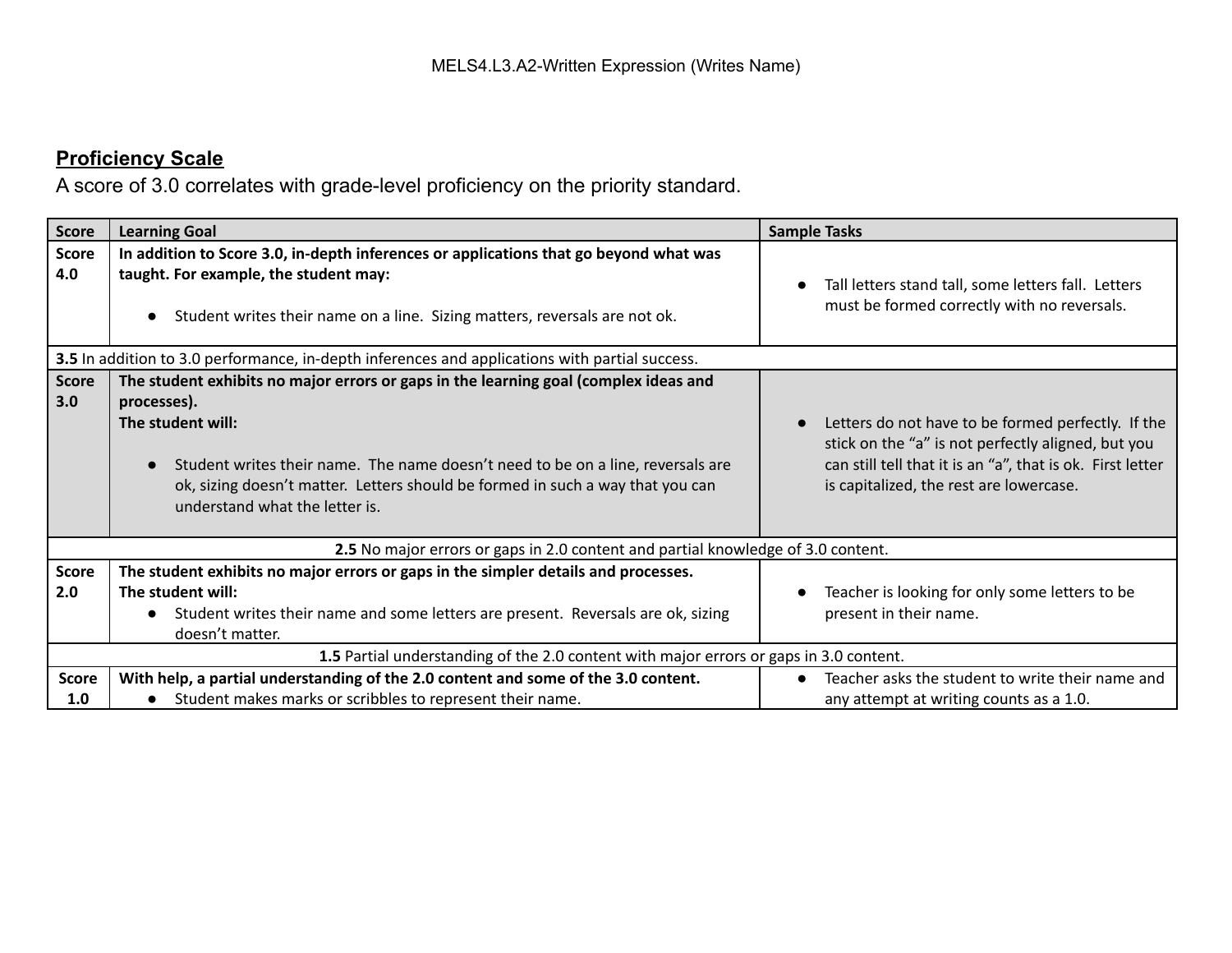| <b>Score</b>        | <b>Learning Goal</b>                                                                                                                                                                                                                                                                                                            | <b>Sample Tasks</b>                                                                                                                                                                                               |
|---------------------|---------------------------------------------------------------------------------------------------------------------------------------------------------------------------------------------------------------------------------------------------------------------------------------------------------------------------------|-------------------------------------------------------------------------------------------------------------------------------------------------------------------------------------------------------------------|
| <b>Score</b><br>4.0 | In addition to Score 3.0, in-depth inferences or applications that go beyond what was<br>taught. For example, the student may:<br>Student writes their name on a line. Sizing matters, reversals are not ok.                                                                                                                    | Tall letters stand tall, some letters fall. Letters<br>must be formed correctly with no reversals.                                                                                                                |
|                     | 3.5 In addition to 3.0 performance, in-depth inferences and applications with partial success.                                                                                                                                                                                                                                  |                                                                                                                                                                                                                   |
| <b>Score</b><br>3.0 | The student exhibits no major errors or gaps in the learning goal (complex ideas and<br>processes).<br>The student will:<br>Student writes their name. The name doesn't need to be on a line, reversals are<br>ok, sizing doesn't matter. Letters should be formed in such a way that you can<br>understand what the letter is. | Letters do not have to be formed perfectly. If the<br>stick on the "a" is not perfectly aligned, but you<br>can still tell that it is an "a", that is ok. First letter<br>is capitalized, the rest are lowercase. |
|                     | 2.5 No major errors or gaps in 2.0 content and partial knowledge of 3.0 content.                                                                                                                                                                                                                                                |                                                                                                                                                                                                                   |
| <b>Score</b><br>2.0 | The student exhibits no major errors or gaps in the simpler details and processes.<br>The student will:<br>Student writes their name and some letters are present. Reversals are ok, sizing<br>$\bullet$<br>doesn't matter.                                                                                                     | Teacher is looking for only some letters to be<br>present in their name.                                                                                                                                          |
|                     | 1.5 Partial understanding of the 2.0 content with major errors or gaps in 3.0 content.                                                                                                                                                                                                                                          |                                                                                                                                                                                                                   |
| <b>Score</b><br>1.0 | With help, a partial understanding of the 2.0 content and some of the 3.0 content.<br>Student makes marks or scribbles to represent their name.                                                                                                                                                                                 | Teacher asks the student to write their name and<br>any attempt at writing counts as a 1.0.                                                                                                                       |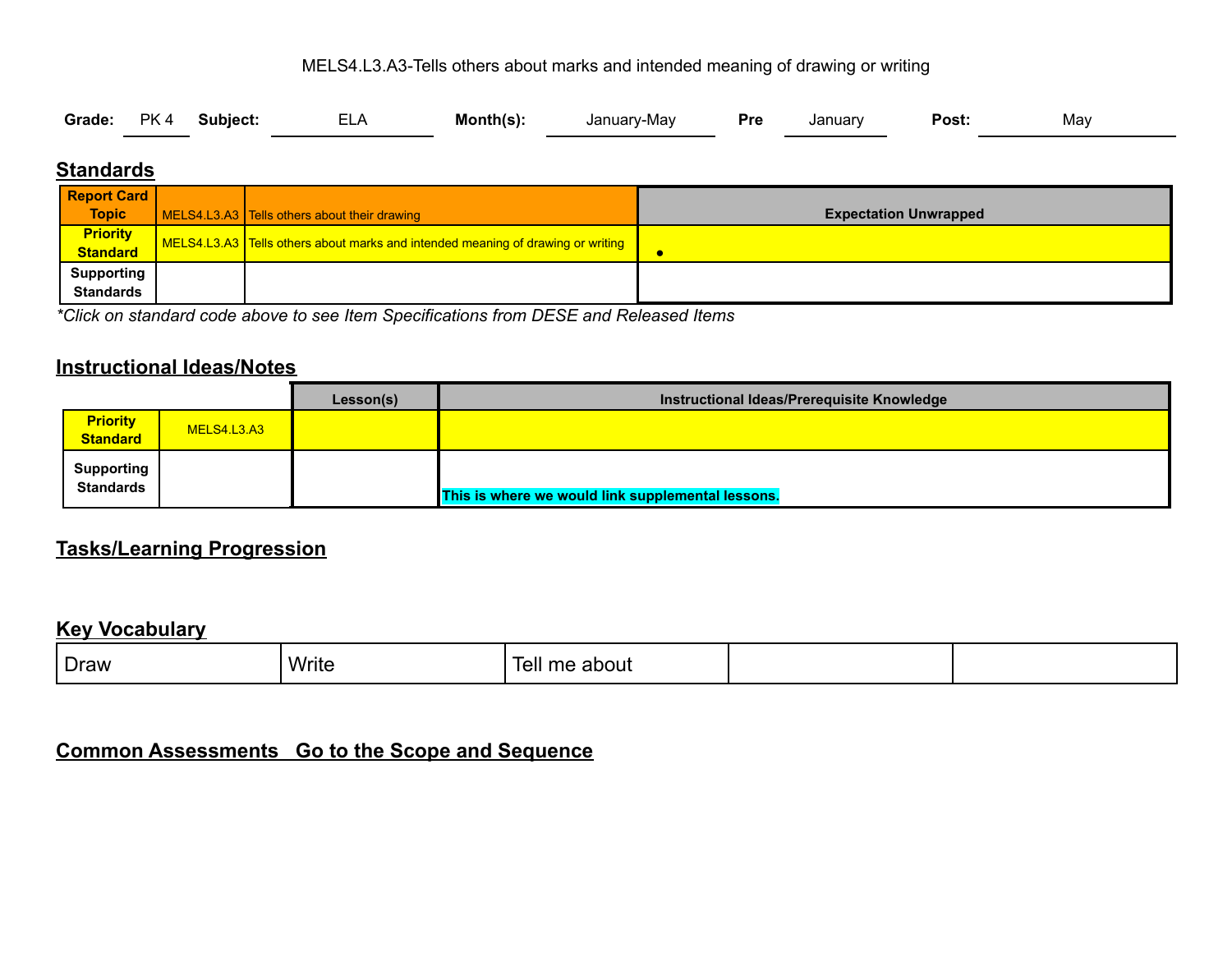#### MELS4.L3.A3-Tells others about marks and intended meaning of drawing or writing

| Grade: PK 4 Subject: |  |  | <b>ELA</b> | Month(s): | , January-May<br><b>Pressure</b> |  | January | Post: | May |
|----------------------|--|--|------------|-----------|----------------------------------|--|---------|-------|-----|
|----------------------|--|--|------------|-----------|----------------------------------|--|---------|-------|-----|

#### **Standards**

| <b>Report Card</b>          |                                                                                 |                              |
|-----------------------------|---------------------------------------------------------------------------------|------------------------------|
| <b>Topic</b>                | MELS4.L3.A3 Tells others about their drawing                                    | <b>Expectation Unwrapped</b> |
| <b>Priority</b><br>Standard | MELS4.L3.A3 Tells others about marks and intended meaning of drawing or writing |                              |
|                             |                                                                                 |                              |
| <b>Supporting</b>           |                                                                                 |                              |
| <b>Standards</b>            |                                                                                 |                              |

*\*Click on standard code above to see Item Specifications from DESE and Released Items*

#### **Instructional Ideas/Notes**

|                                       |             | Lesson(s) | Instructional Ideas/Prerequisite Knowledge        |
|---------------------------------------|-------------|-----------|---------------------------------------------------|
| <b>Priority</b><br><b>Standard</b>    | MELS4.L3.A3 |           |                                                   |
| <b>Supporting</b><br><b>Standards</b> |             |           | This is where we would link supplemental lessons. |

### **Tasks/Learning Progression**

#### **Key Vocabulary**

| Draw | Write<br>$ -$ | .<br>-<br>about<br>lell |  |
|------|---------------|-------------------------|--|
|      |               |                         |  |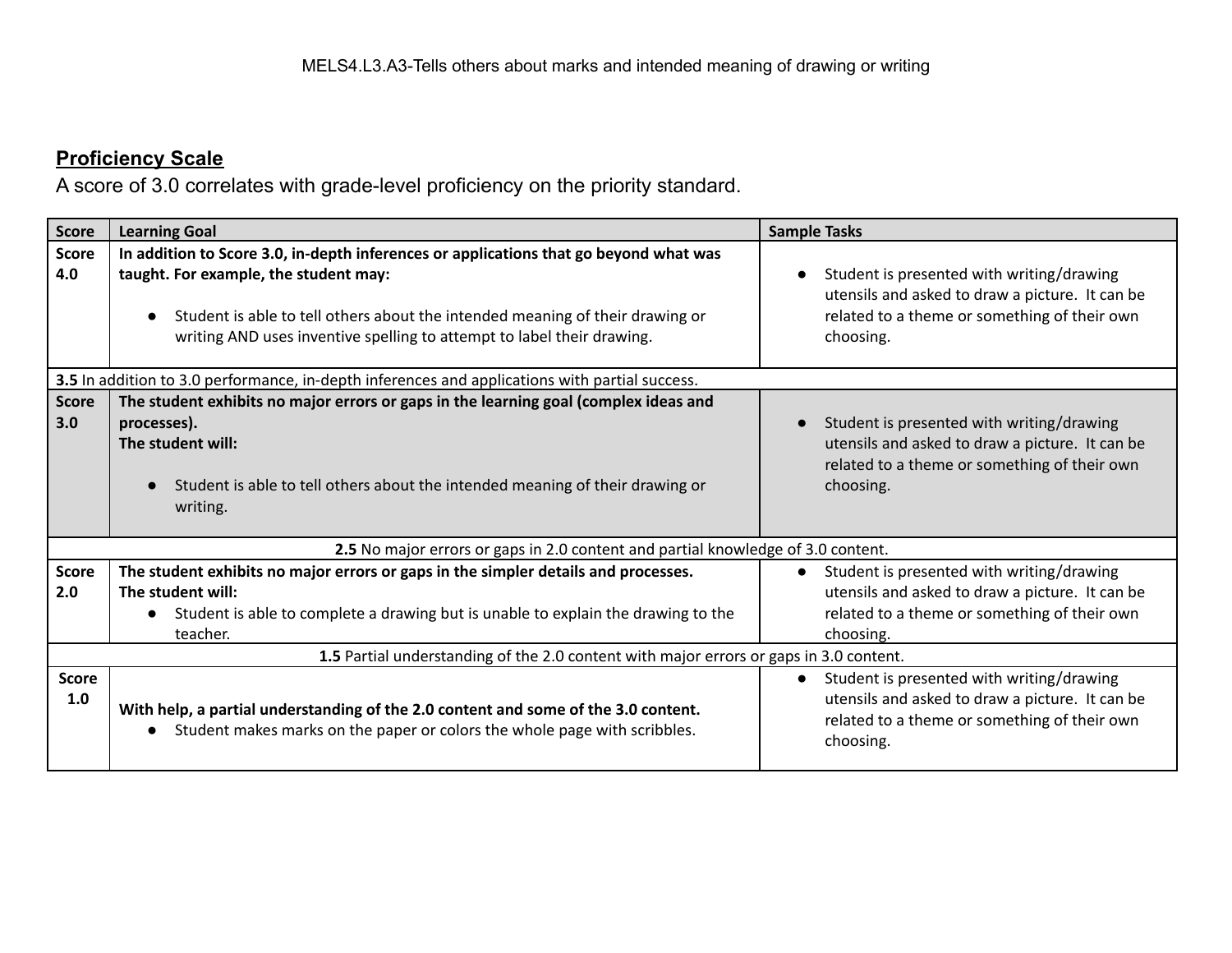| <b>Score</b>        | <b>Learning Goal</b>                                                                                                                                                                                                                                                                      | <b>Sample Tasks</b>                                                                                                                                       |  |  |  |  |  |
|---------------------|-------------------------------------------------------------------------------------------------------------------------------------------------------------------------------------------------------------------------------------------------------------------------------------------|-----------------------------------------------------------------------------------------------------------------------------------------------------------|--|--|--|--|--|
| <b>Score</b><br>4.0 | In addition to Score 3.0, in-depth inferences or applications that go beyond what was<br>taught. For example, the student may:<br>Student is able to tell others about the intended meaning of their drawing or<br>writing AND uses inventive spelling to attempt to label their drawing. | Student is presented with writing/drawing<br>utensils and asked to draw a picture. It can be<br>related to a theme or something of their own<br>choosing. |  |  |  |  |  |
|                     | 3.5 In addition to 3.0 performance, in-depth inferences and applications with partial success.                                                                                                                                                                                            |                                                                                                                                                           |  |  |  |  |  |
| <b>Score</b><br>3.0 | The student exhibits no major errors or gaps in the learning goal (complex ideas and<br>processes).<br>The student will:<br>Student is able to tell others about the intended meaning of their drawing or<br>writing.                                                                     | Student is presented with writing/drawing<br>utensils and asked to draw a picture. It can be<br>related to a theme or something of their own<br>choosing. |  |  |  |  |  |
|                     | 2.5 No major errors or gaps in 2.0 content and partial knowledge of 3.0 content.                                                                                                                                                                                                          |                                                                                                                                                           |  |  |  |  |  |
| <b>Score</b><br>2.0 | The student exhibits no major errors or gaps in the simpler details and processes.<br>The student will:<br>• Student is able to complete a drawing but is unable to explain the drawing to the<br>teacher.                                                                                | Student is presented with writing/drawing<br>utensils and asked to draw a picture. It can be<br>related to a theme or something of their own<br>choosing. |  |  |  |  |  |
|                     | 1.5 Partial understanding of the 2.0 content with major errors or gaps in 3.0 content.                                                                                                                                                                                                    |                                                                                                                                                           |  |  |  |  |  |
| <b>Score</b><br>1.0 | With help, a partial understanding of the 2.0 content and some of the 3.0 content.<br>Student makes marks on the paper or colors the whole page with scribbles.<br>$\bullet$                                                                                                              | Student is presented with writing/drawing<br>utensils and asked to draw a picture. It can be<br>related to a theme or something of their own<br>choosing. |  |  |  |  |  |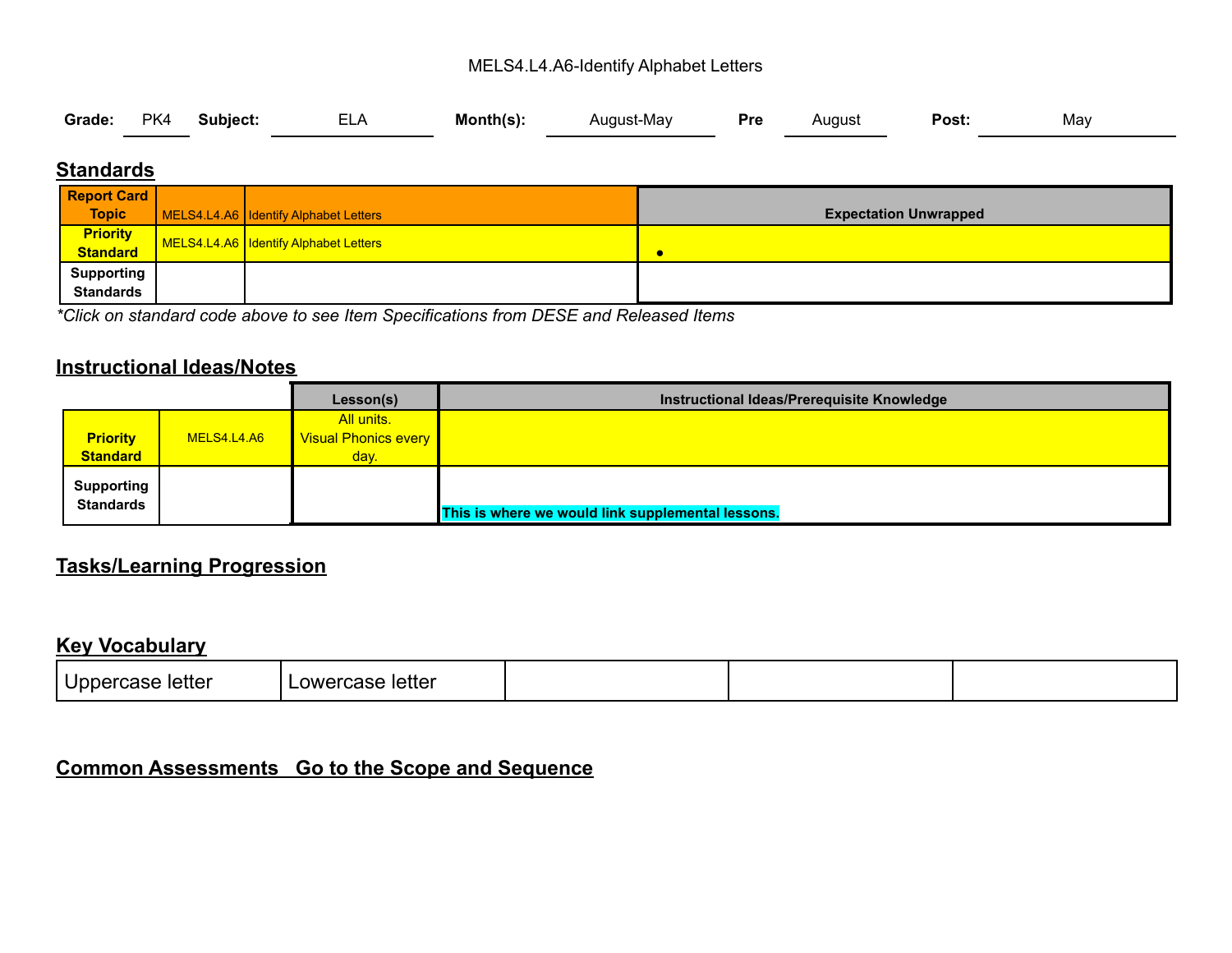#### MELS4.L4.A6-Identify Alphabet Letters

|  |  | Grade: PK4 Subject: ELA Month(s): |  |  | August-May <b>Pre</b> August <b>Post:</b> |  |  |  | May |
|--|--|-----------------------------------|--|--|-------------------------------------------|--|--|--|-----|
|--|--|-----------------------------------|--|--|-------------------------------------------|--|--|--|-----|

#### **Standards**

| <b>Report Card</b>          |                                       |                              |
|-----------------------------|---------------------------------------|------------------------------|
| <b>Topic</b>                | MELS4.L4.A6 Identify Alphabet Letters | <b>Expectation Unwrapped</b> |
| <b>Priority</b><br>Standard | MELS4.L4.A6 Identify Alphabet Letters |                              |
|                             |                                       | c                            |
| Supporting                  |                                       |                              |
| <b>Standards</b>            |                                       |                              |

*\*Click on standard code above to see Item Specifications from DESE and Released Items*

### **Instructional Ideas/Notes**

|                                       |             | Lesson(s)                   | Instructional Ideas/Prerequisite Knowledge        |
|---------------------------------------|-------------|-----------------------------|---------------------------------------------------|
|                                       |             | All units.                  |                                                   |
| <b>Priority</b>                       | MELS4.L4.A6 | <b>Visual Phonics every</b> |                                                   |
| <b>Standard</b>                       |             | day.                        |                                                   |
| <b>Supporting</b><br><b>Standards</b> |             |                             | This is where we would link supplemental lessons. |

#### **Tasks/Learning Progression**

### **Key Vocabulary**

| Uppercase letter<br>∟owercase letter |  |  |  |
|--------------------------------------|--|--|--|
|--------------------------------------|--|--|--|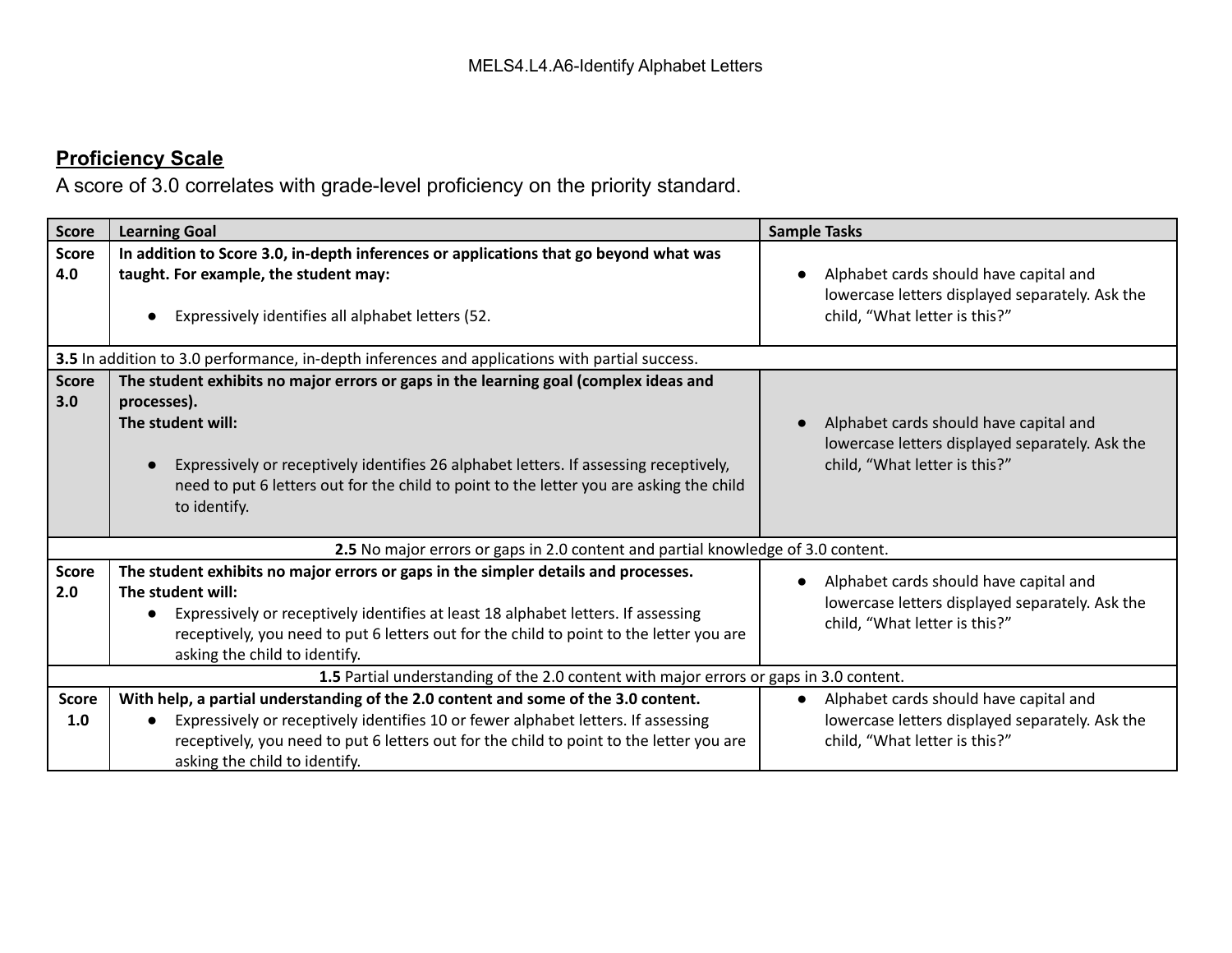| <b>Score</b>        | <b>Learning Goal</b>                                                                                                                                                                                                                                                                                                                  | <b>Sample Tasks</b>                                                                                                                     |  |  |  |  |  |
|---------------------|---------------------------------------------------------------------------------------------------------------------------------------------------------------------------------------------------------------------------------------------------------------------------------------------------------------------------------------|-----------------------------------------------------------------------------------------------------------------------------------------|--|--|--|--|--|
| <b>Score</b><br>4.0 | In addition to Score 3.0, in-depth inferences or applications that go beyond what was<br>taught. For example, the student may:<br>Expressively identifies all alphabet letters (52.                                                                                                                                                   | Alphabet cards should have capital and<br>lowercase letters displayed separately. Ask the<br>child, "What letter is this?"              |  |  |  |  |  |
|                     | 3.5 In addition to 3.0 performance, in-depth inferences and applications with partial success.                                                                                                                                                                                                                                        |                                                                                                                                         |  |  |  |  |  |
| <b>Score</b><br>3.0 | The student exhibits no major errors or gaps in the learning goal (complex ideas and<br>processes).<br>The student will:<br>Expressively or receptively identifies 26 alphabet letters. If assessing receptively,<br>need to put 6 letters out for the child to point to the letter you are asking the child<br>to identify.          | Alphabet cards should have capital and<br>lowercase letters displayed separately. Ask the<br>child, "What letter is this?"              |  |  |  |  |  |
|                     | 2.5 No major errors or gaps in 2.0 content and partial knowledge of 3.0 content.                                                                                                                                                                                                                                                      |                                                                                                                                         |  |  |  |  |  |
| <b>Score</b><br>2.0 | The student exhibits no major errors or gaps in the simpler details and processes.<br>The student will:<br>Expressively or receptively identifies at least 18 alphabet letters. If assessing<br>$\bullet$<br>receptively, you need to put 6 letters out for the child to point to the letter you are<br>asking the child to identify. | Alphabet cards should have capital and<br>lowercase letters displayed separately. Ask the<br>child, "What letter is this?"              |  |  |  |  |  |
|                     | 1.5 Partial understanding of the 2.0 content with major errors or gaps in 3.0 content.                                                                                                                                                                                                                                                |                                                                                                                                         |  |  |  |  |  |
| <b>Score</b><br>1.0 | With help, a partial understanding of the 2.0 content and some of the 3.0 content.<br>Expressively or receptively identifies 10 or fewer alphabet letters. If assessing<br>receptively, you need to put 6 letters out for the child to point to the letter you are<br>asking the child to identify.                                   | Alphabet cards should have capital and<br>$\bullet$<br>lowercase letters displayed separately. Ask the<br>child, "What letter is this?" |  |  |  |  |  |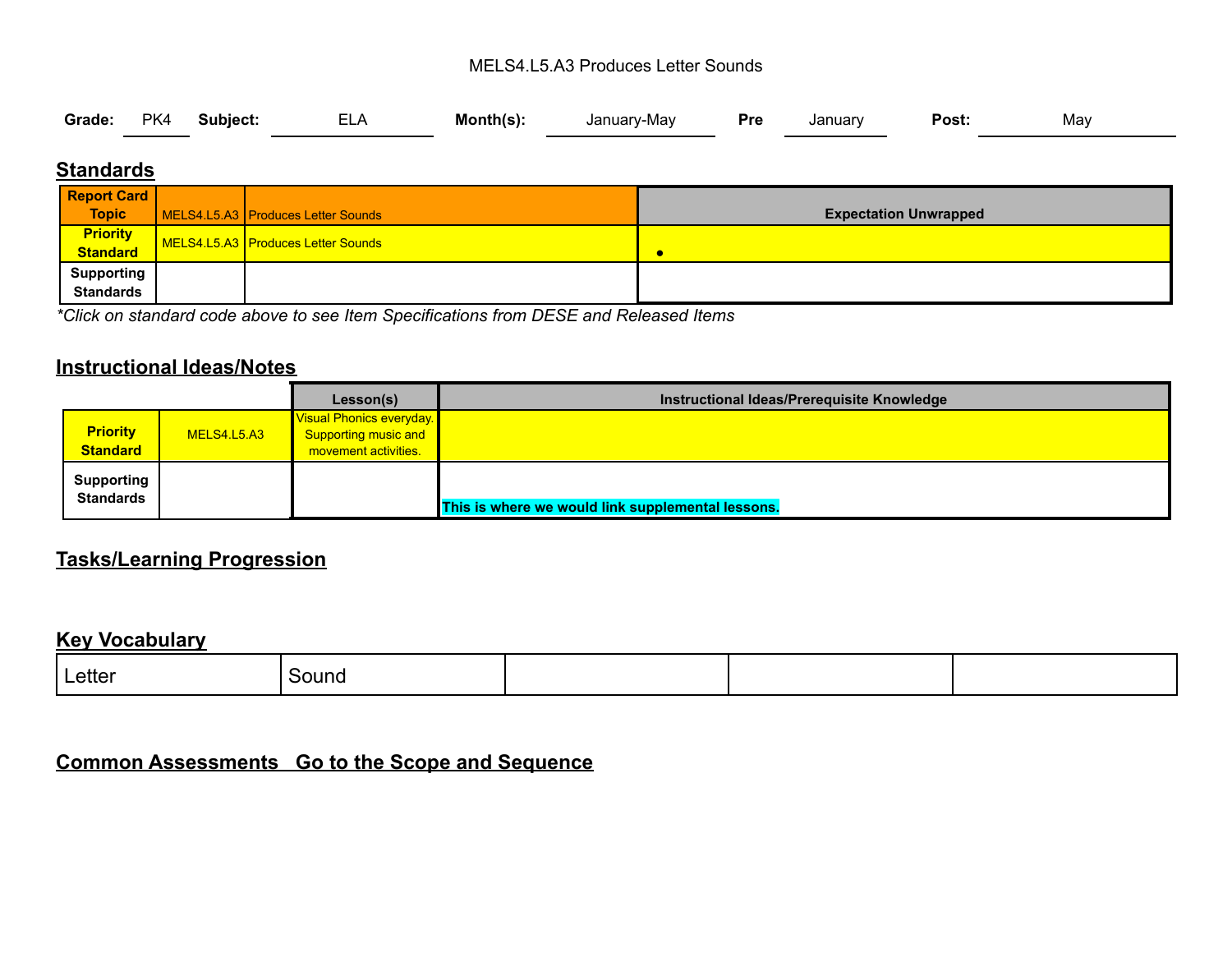#### MELS4.L5.A3 Produces Letter Sounds

|  |  | Grade: PK4 Subject: | <b>ELA</b> | Month(s): | January-May | <b>Pressure</b> | Januarv | <b>Post:</b> | May |  |
|--|--|---------------------|------------|-----------|-------------|-----------------|---------|--------------|-----|--|
|--|--|---------------------|------------|-----------|-------------|-----------------|---------|--------------|-----|--|

### **Standards**

| <b>Report Card</b>          |                                    |                              |
|-----------------------------|------------------------------------|------------------------------|
| <b>Topic</b>                | MELS4.L5.A3 Produces Letter Sounds | <b>Expectation Unwrapped</b> |
| <b>Priority</b><br>Standard | MELS4.L5.A3 Produces Letter Sounds |                              |
|                             |                                    | c                            |
| <b>Supporting</b>           |                                    |                              |
| <b>Standards</b>            |                                    |                              |

*\*Click on standard code above to see Item Specifications from DESE and Released Items*

#### **Instructional Ideas/Notes**

|                                       |             | Lesson(s)                                                                       | Instructional Ideas/Prerequisite Knowledge        |
|---------------------------------------|-------------|---------------------------------------------------------------------------------|---------------------------------------------------|
| <b>Priority</b><br><b>Standard</b>    | MELS4.L5.A3 | Visual Phonics everyday.<br><b>Supporting music and</b><br>movement activities. |                                                   |
| <b>Supporting</b><br><b>Standards</b> |             |                                                                                 | This is where we would link supplemental lessons. |

### **Tasks/Learning Progression**

#### **Key Vocabulary**

| _etter<br>------ | эни<br>_____ |  |  |
|------------------|--------------|--|--|